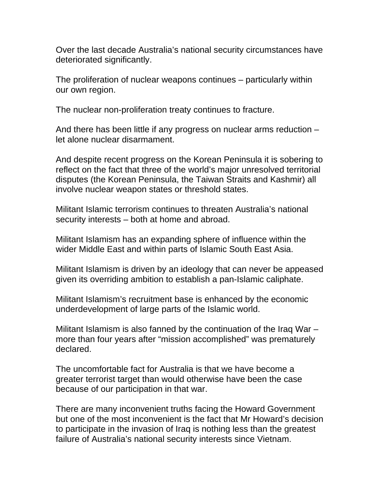Over the last decade Australia's national security circumstances have deteriorated significantly.

The proliferation of nuclear weapons continues – particularly within our own region.

The nuclear non-proliferation treaty continues to fracture.

And there has been little if any progress on nuclear arms reduction – let alone nuclear disarmament.

And despite recent progress on the Korean Peninsula it is sobering to reflect on the fact that three of the world's major unresolved territorial disputes (the Korean Peninsula, the Taiwan Straits and Kashmir) all involve nuclear weapon states or threshold states.

Militant Islamic terrorism continues to threaten Australia's national security interests – both at home and abroad.

Militant Islamism has an expanding sphere of influence within the wider Middle East and within parts of Islamic South East Asia.

Militant Islamism is driven by an ideology that can never be appeased given its overriding ambition to establish a pan-Islamic caliphate.

Militant Islamism's recruitment base is enhanced by the economic underdevelopment of large parts of the Islamic world.

Militant Islamism is also fanned by the continuation of the Iraq War – more than four years after "mission accomplished" was prematurely declared.

The uncomfortable fact for Australia is that we have become a greater terrorist target than would otherwise have been the case because of our participation in that war.

There are many inconvenient truths facing the Howard Government but one of the most inconvenient is the fact that Mr Howard's decision to participate in the invasion of Iraq is nothing less than the greatest failure of Australia's national security interests since Vietnam.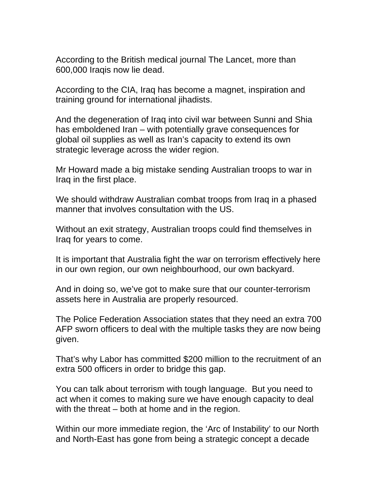According to the British medical journal The Lancet, more than 600,000 Iraqis now lie dead.

According to the CIA, Iraq has become a magnet, inspiration and training ground for international jihadists.

And the degeneration of Iraq into civil war between Sunni and Shia has emboldened Iran – with potentially grave consequences for global oil supplies as well as Iran's capacity to extend its own strategic leverage across the wider region.

Mr Howard made a big mistake sending Australian troops to war in Iraq in the first place.

We should withdraw Australian combat troops from Iraq in a phased manner that involves consultation with the US.

Without an exit strategy, Australian troops could find themselves in Iraq for years to come.

It is important that Australia fight the war on terrorism effectively here in our own region, our own neighbourhood, our own backyard.

And in doing so, we've got to make sure that our counter-terrorism assets here in Australia are properly resourced.

The Police Federation Association states that they need an extra 700 AFP sworn officers to deal with the multiple tasks they are now being given.

That's why Labor has committed \$200 million to the recruitment of an extra 500 officers in order to bridge this gap.

You can talk about terrorism with tough language. But you need to act when it comes to making sure we have enough capacity to deal with the threat – both at home and in the region.

Within our more immediate region, the 'Arc of Instability' to our North and North-East has gone from being a strategic concept a decade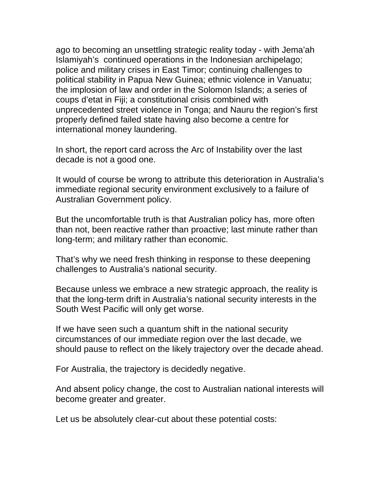ago to becoming an unsettling strategic reality today - with Jema'ah Islamiyah's continued operations in the Indonesian archipelago; police and military crises in East Timor; continuing challenges to political stability in Papua New Guinea; ethnic violence in Vanuatu; the implosion of law and order in the Solomon Islands; a series of coups d'etat in Fiji; a constitutional crisis combined with unprecedented street violence in Tonga; and Nauru the region's first properly defined failed state having also become a centre for international money laundering.

In short, the report card across the Arc of Instability over the last decade is not a good one.

It would of course be wrong to attribute this deterioration in Australia's immediate regional security environment exclusively to a failure of Australian Government policy.

But the uncomfortable truth is that Australian policy has, more often than not, been reactive rather than proactive; last minute rather than long-term; and military rather than economic.

That's why we need fresh thinking in response to these deepening challenges to Australia's national security.

Because unless we embrace a new strategic approach, the reality is that the long-term drift in Australia's national security interests in the South West Pacific will only get worse.

If we have seen such a quantum shift in the national security circumstances of our immediate region over the last decade, we should pause to reflect on the likely trajectory over the decade ahead.

For Australia, the trajectory is decidedly negative.

And absent policy change, the cost to Australian national interests will become greater and greater.

Let us be absolutely clear-cut about these potential costs: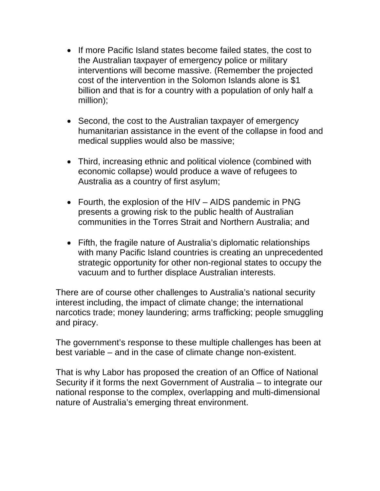- If more Pacific Island states become failed states, the cost to the Australian taxpayer of emergency police or military interventions will become massive. (Remember the projected cost of the intervention in the Solomon Islands alone is \$1 billion and that is for a country with a population of only half a million);
- Second, the cost to the Australian taxpayer of emergency humanitarian assistance in the event of the collapse in food and medical supplies would also be massive;
- Third, increasing ethnic and political violence (combined with economic collapse) would produce a wave of refugees to Australia as a country of first asylum;
- Fourth, the explosion of the HIV AIDS pandemic in PNG presents a growing risk to the public health of Australian communities in the Torres Strait and Northern Australia; and
- Fifth, the fragile nature of Australia's diplomatic relationships with many Pacific Island countries is creating an unprecedented strategic opportunity for other non-regional states to occupy the vacuum and to further displace Australian interests.

There are of course other challenges to Australia's national security interest including, the impact of climate change; the international narcotics trade; money laundering; arms trafficking; people smuggling and piracy.

The government's response to these multiple challenges has been at best variable – and in the case of climate change non-existent.

That is why Labor has proposed the creation of an Office of National Security if it forms the next Government of Australia – to integrate our national response to the complex, overlapping and multi-dimensional nature of Australia's emerging threat environment.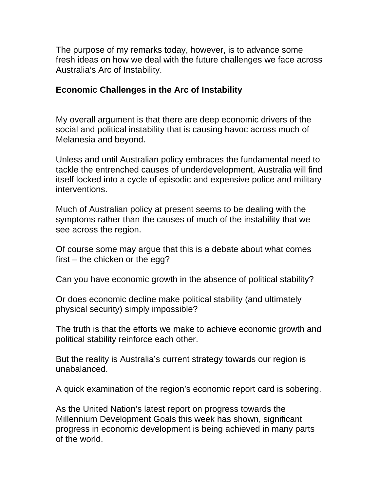The purpose of my remarks today, however, is to advance some fresh ideas on how we deal with the future challenges we face across Australia's Arc of Instability.

### **Economic Challenges in the Arc of Instability**

My overall argument is that there are deep economic drivers of the social and political instability that is causing havoc across much of Melanesia and beyond.

Unless and until Australian policy embraces the fundamental need to tackle the entrenched causes of underdevelopment, Australia will find itself locked into a cycle of episodic and expensive police and military interventions.

Much of Australian policy at present seems to be dealing with the symptoms rather than the causes of much of the instability that we see across the region.

Of course some may argue that this is a debate about what comes first – the chicken or the egg?

Can you have economic growth in the absence of political stability?

Or does economic decline make political stability (and ultimately physical security) simply impossible?

The truth is that the efforts we make to achieve economic growth and political stability reinforce each other.

But the reality is Australia's current strategy towards our region is unabalanced.

A quick examination of the region's economic report card is sobering.

As the United Nation's latest report on progress towards the Millennium Development Goals this week has shown, significant progress in economic development is being achieved in many parts of the world.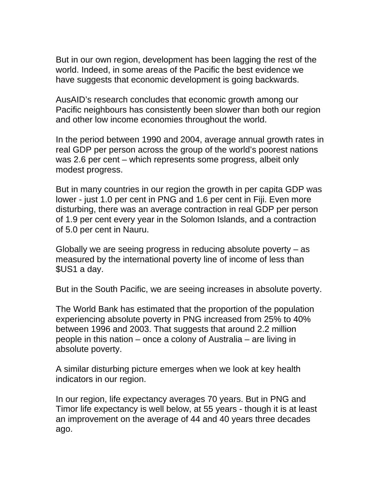But in our own region, development has been lagging the rest of the world. Indeed, in some areas of the Pacific the best evidence we have suggests that economic development is going backwards.

AusAID's research concludes that economic growth among our Pacific neighbours has consistently been slower than both our region and other low income economies throughout the world.

In the period between 1990 and 2004, average annual growth rates in real GDP per person across the group of the world's poorest nations was 2.6 per cent – which represents some progress, albeit only modest progress.

But in many countries in our region the growth in per capita GDP was lower - just 1.0 per cent in PNG and 1.6 per cent in Fiji. Even more disturbing, there was an average contraction in real GDP per person of 1.9 per cent every year in the Solomon Islands, and a contraction of 5.0 per cent in Nauru.

Globally we are seeing progress in reducing absolute poverty – as measured by the international poverty line of income of less than \$US1 a day.

But in the South Pacific, we are seeing increases in absolute poverty.

The World Bank has estimated that the proportion of the population experiencing absolute poverty in PNG increased from 25% to 40% between 1996 and 2003. That suggests that around 2.2 million people in this nation – once a colony of Australia – are living in absolute poverty.

A similar disturbing picture emerges when we look at key health indicators in our region.

In our region, life expectancy averages 70 years. But in PNG and Timor life expectancy is well below, at 55 years - though it is at least an improvement on the average of 44 and 40 years three decades ago.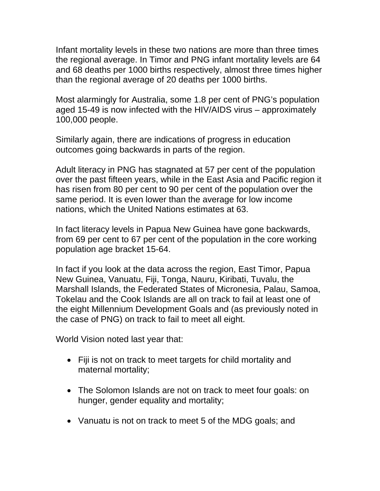Infant mortality levels in these two nations are more than three times the regional average. In Timor and PNG infant mortality levels are 64 and 68 deaths per 1000 births respectively, almost three times higher than the regional average of 20 deaths per 1000 births.

Most alarmingly for Australia, some 1.8 per cent of PNG's population aged 15-49 is now infected with the HIV/AIDS virus – approximately 100,000 people.

Similarly again, there are indications of progress in education outcomes going backwards in parts of the region.

Adult literacy in PNG has stagnated at 57 per cent of the population over the past fifteen years, while in the East Asia and Pacific region it has risen from 80 per cent to 90 per cent of the population over the same period. It is even lower than the average for low income nations, which the United Nations estimates at 63.

In fact literacy levels in Papua New Guinea have gone backwards, from 69 per cent to 67 per cent of the population in the core working population age bracket 15-64.

In fact if you look at the data across the region, East Timor, Papua New Guinea, Vanuatu, Fiji, Tonga, Nauru, Kiribati, Tuvalu, the Marshall Islands, the Federated States of Micronesia, Palau, Samoa, Tokelau and the Cook Islands are all on track to fail at least one of the eight Millennium Development Goals and (as previously noted in the case of PNG) on track to fail to meet all eight.

World Vision noted last year that:

- Fiji is not on track to meet targets for child mortality and maternal mortality;
- The Solomon Islands are not on track to meet four goals: on hunger, gender equality and mortality;
- Vanuatu is not on track to meet 5 of the MDG goals; and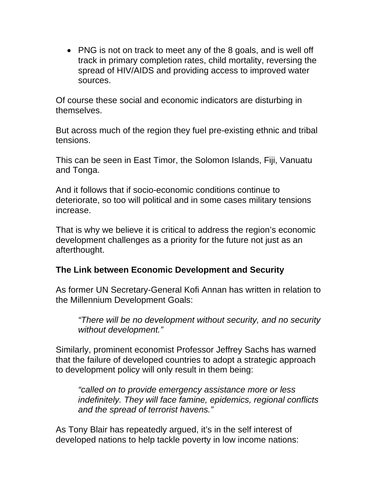• PNG is not on track to meet any of the 8 goals, and is well off track in primary completion rates, child mortality, reversing the spread of HIV/AIDS and providing access to improved water sources.

Of course these social and economic indicators are disturbing in themselves.

But across much of the region they fuel pre-existing ethnic and tribal tensions.

This can be seen in East Timor, the Solomon Islands, Fiji, Vanuatu and Tonga.

And it follows that if socio-economic conditions continue to deteriorate, so too will political and in some cases military tensions increase.

That is why we believe it is critical to address the region's economic development challenges as a priority for the future not just as an afterthought.

# **The Link between Economic Development and Security**

As former UN Secretary-General Kofi Annan has written in relation to the Millennium Development Goals:

*"There will be no development without security, and no security without development."* 

Similarly, prominent economist Professor Jeffrey Sachs has warned that the failure of developed countries to adopt a strategic approach to development policy will only result in them being:

*"called on to provide emergency assistance more or less indefinitely. They will face famine, epidemics, regional conflicts and the spread of terrorist havens."* 

As Tony Blair has repeatedly argued, it's in the self interest of developed nations to help tackle poverty in low income nations: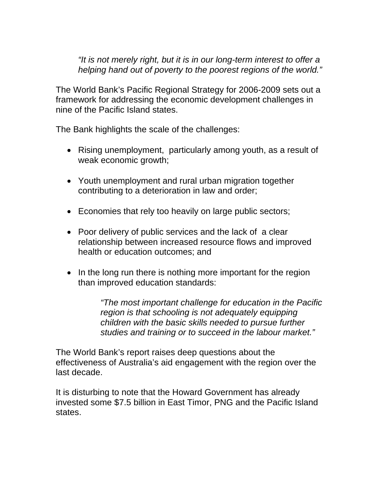#### *"It is not merely right, but it is in our long-term interest to offer a helping hand out of poverty to the poorest regions of the world."*

The World Bank's Pacific Regional Strategy for 2006-2009 sets out a framework for addressing the economic development challenges in nine of the Pacific Island states.

The Bank highlights the scale of the challenges:

- Rising unemployment, particularly among youth, as a result of weak economic growth;
- Youth unemployment and rural urban migration together contributing to a deterioration in law and order;
- Economies that rely too heavily on large public sectors;
- Poor delivery of public services and the lack of a clear relationship between increased resource flows and improved health or education outcomes; and
- In the long run there is nothing more important for the region than improved education standards:

*"The most important challenge for education in the Pacific region is that schooling is not adequately equipping children with the basic skills needed to pursue further studies and training or to succeed in the labour market."* 

The World Bank's report raises deep questions about the effectiveness of Australia's aid engagement with the region over the last decade.

It is disturbing to note that the Howard Government has already invested some \$7.5 billion in East Timor, PNG and the Pacific Island states.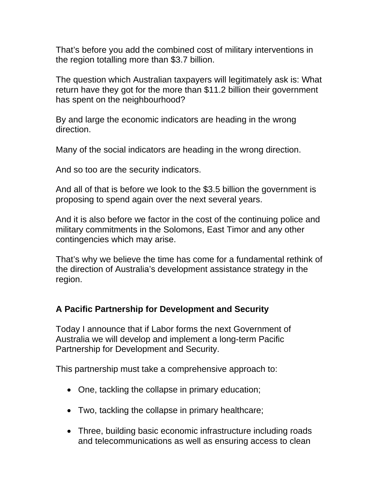That's before you add the combined cost of military interventions in the region totalling more than \$3.7 billion.

The question which Australian taxpayers will legitimately ask is: What return have they got for the more than \$11.2 billion their government has spent on the neighbourhood?

By and large the economic indicators are heading in the wrong direction.

Many of the social indicators are heading in the wrong direction.

And so too are the security indicators.

And all of that is before we look to the \$3.5 billion the government is proposing to spend again over the next several years.

And it is also before we factor in the cost of the continuing police and military commitments in the Solomons, East Timor and any other contingencies which may arise.

That's why we believe the time has come for a fundamental rethink of the direction of Australia's development assistance strategy in the region.

# **A Pacific Partnership for Development and Security**

Today I announce that if Labor forms the next Government of Australia we will develop and implement a long-term Pacific Partnership for Development and Security.

This partnership must take a comprehensive approach to:

- One, tackling the collapse in primary education;
- Two, tackling the collapse in primary healthcare;
- Three, building basic economic infrastructure including roads and telecommunications as well as ensuring access to clean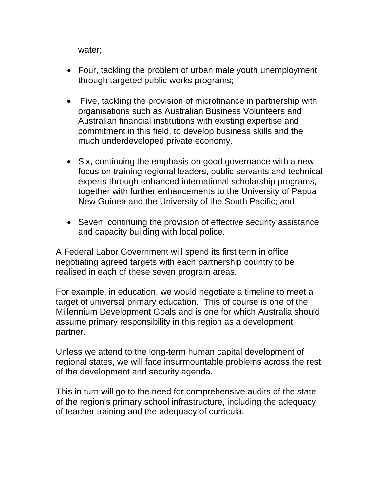water;

- Four, tackling the problem of urban male youth unemployment through targeted public works programs;
- Five, tackling the provision of microfinance in partnership with organisations such as Australian Business Volunteers and Australian financial institutions with existing expertise and commitment in this field, to develop business skills and the much underdeveloped private economy.
- Six, continuing the emphasis on good governance with a new focus on training regional leaders, public servants and technical experts through enhanced international scholarship programs, together with further enhancements to the University of Papua New Guinea and the University of the South Pacific; and
- Seven, continuing the provision of effective security assistance and capacity building with local police.

A Federal Labor Government will spend its first term in office negotiating agreed targets with each partnership country to be realised in each of these seven program areas.

For example, in education, we would negotiate a timeline to meet a target of universal primary education. This of course is one of the Millennium Development Goals and is one for which Australia should assume primary responsibility in this region as a development partner.

Unless we attend to the long-term human capital development of regional states, we will face insurmountable problems across the rest of the development and security agenda.

This in turn will go to the need for comprehensive audits of the state of the region's primary school infrastructure, including the adequacy of teacher training and the adequacy of curricula.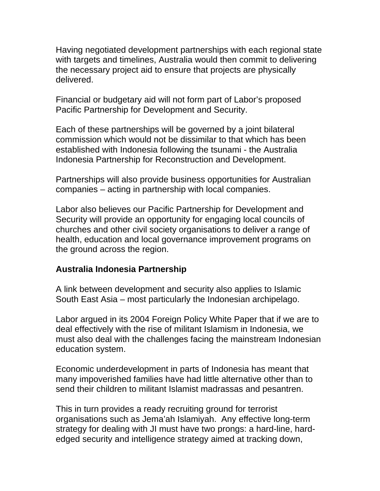Having negotiated development partnerships with each regional state with targets and timelines, Australia would then commit to delivering the necessary project aid to ensure that projects are physically delivered.

Financial or budgetary aid will not form part of Labor's proposed Pacific Partnership for Development and Security.

Each of these partnerships will be governed by a joint bilateral commission which would not be dissimilar to that which has been established with Indonesia following the tsunami - the Australia Indonesia Partnership for Reconstruction and Development.

Partnerships will also provide business opportunities for Australian companies – acting in partnership with local companies.

Labor also believes our Pacific Partnership for Development and Security will provide an opportunity for engaging local councils of churches and other civil society organisations to deliver a range of health, education and local governance improvement programs on the ground across the region.

### **Australia Indonesia Partnership**

A link between development and security also applies to Islamic South East Asia – most particularly the Indonesian archipelago.

Labor argued in its 2004 Foreign Policy White Paper that if we are to deal effectively with the rise of militant Islamism in Indonesia, we must also deal with the challenges facing the mainstream Indonesian education system.

Economic underdevelopment in parts of Indonesia has meant that many impoverished families have had little alternative other than to send their children to militant Islamist madrassas and pesantren.

This in turn provides a ready recruiting ground for terrorist organisations such as Jema'ah Islamiyah. Any effective long-term strategy for dealing with JI must have two prongs: a hard-line, hardedged security and intelligence strategy aimed at tracking down,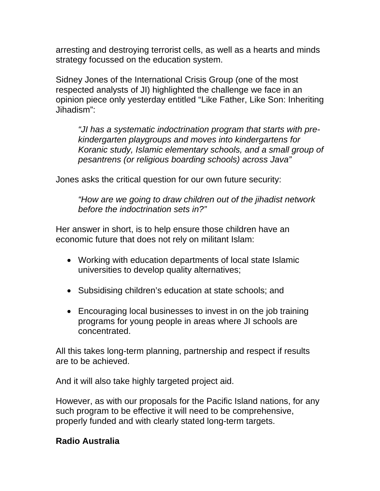arresting and destroying terrorist cells, as well as a hearts and minds strategy focussed on the education system.

Sidney Jones of the International Crisis Group (one of the most respected analysts of JI) highlighted the challenge we face in an opinion piece only yesterday entitled "Like Father, Like Son: Inheriting Jihadism":

*"JI has a systematic indoctrination program that starts with prekindergarten playgroups and moves into kindergartens for Koranic study, Islamic elementary schools, and a small group of pesantrens (or religious boarding schools) across Java"* 

Jones asks the critical question for our own future security:

*"How are we going to draw children out of the jihadist network before the indoctrination sets in?"* 

Her answer in short, is to help ensure those children have an economic future that does not rely on militant Islam:

- Working with education departments of local state Islamic universities to develop quality alternatives;
- Subsidising children's education at state schools; and
- Encouraging local businesses to invest in on the job training programs for young people in areas where JI schools are concentrated.

All this takes long-term planning, partnership and respect if results are to be achieved.

And it will also take highly targeted project aid.

However, as with our proposals for the Pacific Island nations, for any such program to be effective it will need to be comprehensive, properly funded and with clearly stated long-term targets.

### **Radio Australia**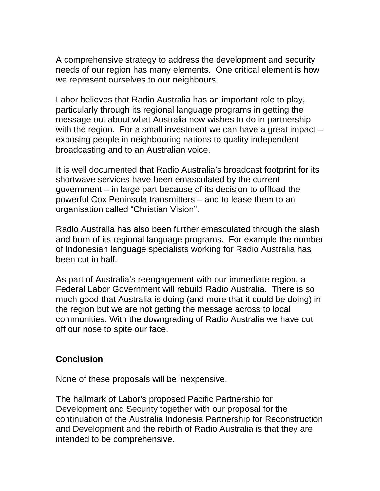A comprehensive strategy to address the development and security needs of our region has many elements. One critical element is how we represent ourselves to our neighbours.

Labor believes that Radio Australia has an important role to play, particularly through its regional language programs in getting the message out about what Australia now wishes to do in partnership with the region. For a small investment we can have a great impact – exposing people in neighbouring nations to quality independent broadcasting and to an Australian voice.

It is well documented that Radio Australia's broadcast footprint for its shortwave services have been emasculated by the current government – in large part because of its decision to offload the powerful Cox Peninsula transmitters – and to lease them to an organisation called "Christian Vision".

Radio Australia has also been further emasculated through the slash and burn of its regional language programs. For example the number of Indonesian language specialists working for Radio Australia has been cut in half.

As part of Australia's reengagement with our immediate region, a Federal Labor Government will rebuild Radio Australia. There is so much good that Australia is doing (and more that it could be doing) in the region but we are not getting the message across to local communities. With the downgrading of Radio Australia we have cut off our nose to spite our face.

### **Conclusion**

None of these proposals will be inexpensive.

The hallmark of Labor's proposed Pacific Partnership for Development and Security together with our proposal for the continuation of the Australia Indonesia Partnership for Reconstruction and Development and the rebirth of Radio Australia is that they are intended to be comprehensive.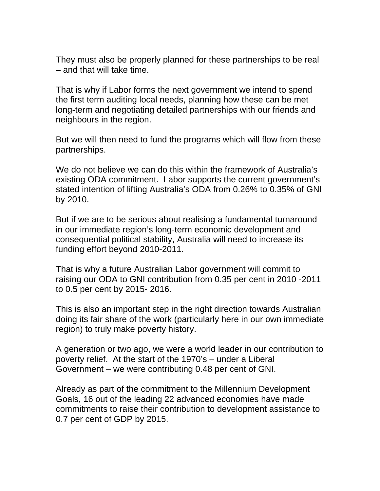They must also be properly planned for these partnerships to be real – and that will take time.

That is why if Labor forms the next government we intend to spend the first term auditing local needs, planning how these can be met long-term and negotiating detailed partnerships with our friends and neighbours in the region.

But we will then need to fund the programs which will flow from these partnerships.

We do not believe we can do this within the framework of Australia's existing ODA commitment. Labor supports the current government's stated intention of lifting Australia's ODA from 0.26% to 0.35% of GNI by 2010.

But if we are to be serious about realising a fundamental turnaround in our immediate region's long-term economic development and consequential political stability, Australia will need to increase its funding effort beyond 2010-2011.

That is why a future Australian Labor government will commit to raising our ODA to GNI contribution from 0.35 per cent in 2010 -2011 to 0.5 per cent by 2015- 2016.

This is also an important step in the right direction towards Australian doing its fair share of the work (particularly here in our own immediate region) to truly make poverty history.

A generation or two ago, we were a world leader in our contribution to poverty relief. At the start of the 1970's – under a Liberal Government – we were contributing 0.48 per cent of GNI.

Already as part of the commitment to the Millennium Development Goals, 16 out of the leading 22 advanced economies have made commitments to raise their contribution to development assistance to 0.7 per cent of GDP by 2015.